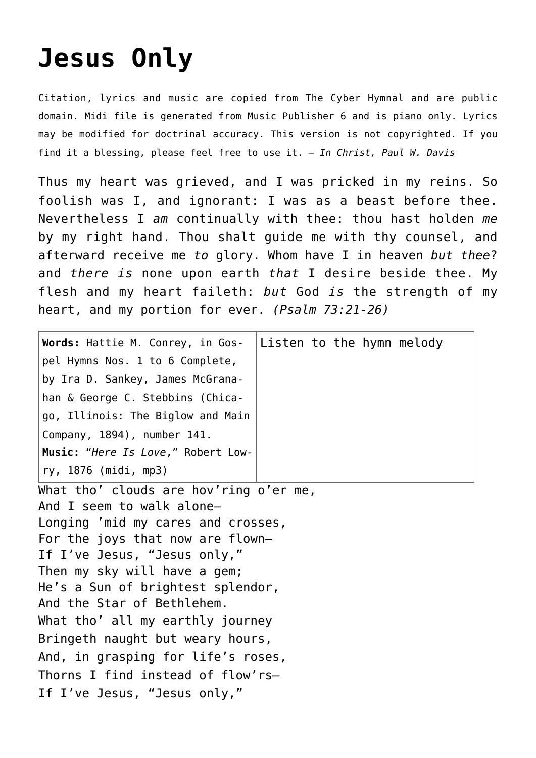## **[Jesus Only](http://reproachofmen.org/hymns-and-music/jesus-only/)**

Citation, lyrics and music are copied from [The Cyber Hymnal](http://www.hymntime.com/tch/) and are public domain. Midi file is generated from Music Publisher 6 and is piano only. Lyrics may be modified for doctrinal accuracy. This version is not copyrighted. If you find it a blessing, please feel free to use it. — *In Christ, Paul W. Davis*

Thus my heart was grieved, and I was pricked in my reins. So foolish was I, and ignorant: I was as a beast before thee. Nevertheless I *am* continually with thee: thou hast holden *me* by my right hand. Thou shalt guide me with thy counsel, and afterward receive me *to* glory. Whom have I in heaven *but thee*? and *there is* none upon earth *that* I desire beside thee. My flesh and my heart faileth: *but* God *is* the strength of my heart, and my portion for ever. *(Psalm 73:21-26)*

| <b>Words:</b> Hattie M. Conrey, in Gos- $\vert$ Listen to the hymn melody |  |
|---------------------------------------------------------------------------|--|
| pel Hymns Nos. 1 to 6 Complete,                                           |  |
| by Ira D. Sankey, James McGrana-                                          |  |
| han & George C. Stebbins (Chica-                                          |  |
| go, Illinois: The Biglow and Main                                         |  |
| Company, 1894), number 141.                                               |  |
| Music: "Here Is Love," Robert Low-                                        |  |
| ry, 1876 (midi, mp3)                                                      |  |

What tho' clouds are hov'ring o'er me, And I seem to walk alone— Longing 'mid my cares and crosses, For the joys that now are flown— If I've Jesus, "Jesus only," Then my sky will have a gem; He's a Sun of brightest splendor, And the Star of Bethlehem. What tho' all my earthly journey Bringeth naught but weary hours, And, in grasping for life's roses, Thorns I find instead of flow'rs— If I've Jesus, "Jesus only,"